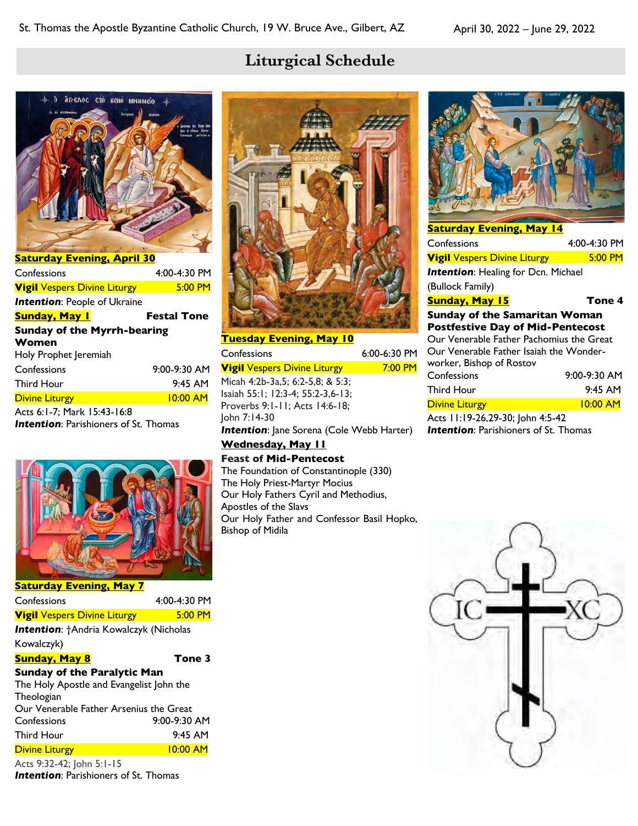

| <b>Saturday Evening, April 30</b>           |                    |
|---------------------------------------------|--------------------|
| Confessions                                 | 4:00-4:30 PM       |
| <b>Vigil</b> Vespers Divine Liturgy         | 5:00 PM            |
| <b>Intention: People of Ukraine</b>         |                    |
| <u>Sunday, May I</u>                        | <b>Festal Tone</b> |
| <b>Sunday of the Myrrh-bearing</b>          |                    |
| Women                                       |                    |
| Holy Prophet Jeremiah                       |                    |
| Confessions                                 | $9:00-9:30$ AM     |
| <b>Third Hour</b>                           | $9:45$ AM          |
| <b>Divine Liturgy</b>                       | 10:00 AM           |
| A . / I . 7 . A . I . I . 4 . A . I . A . O |                    |

Acts 6:1-7; Mark 15:43-16:8 **Intention:** Parishioners of St. Thomas



### **Saturday Evening, May 7** Confessions 4:00-4:30 PM

| <b>Vigil</b> Vespers Divine Liturgy                    | $5:00$ PM |
|--------------------------------------------------------|-----------|
| tanto antio and the state of constructs that the local |           |

*Intention*: †Andria Kowalczyk (Nicholas Kowalczyk)

**Sunday, May 8 Tone 3**

**Sunday of the Paralytic Man**

The Holy Apostle and Evangelist John the **Theologian** Our Venerable Father Arsenius the Great Confessions 9:00-9:30 AM Third Hour 9:45 AM Divine Liturgy 10:00 AM

Acts 9:32-42; John 5:1-15 **Intention: Parishioners of St. Thomas** 



**Tuesday Evening, May 10** Confessions 6:00-6:30 PM **Vigil** Vespers Divine Liturgy 7:00 PM Micah 4:2b-3a,5; 6:2-5,8; & 5:3; Isaiah 55:1; 12:3-4; 55:2-3,6-13; Proverbs 9:1-11; Acts 14:6-18; John 7:14-30 **Intention**: Jane Sorena (Cole Webb Harter) **Wednesday, May 11 Feast of Mid-Pentecost** The Foundation of Constantinople (330) The Holy Priest-Martyr Mocius Our Holy Fathers Cyril and Methodius,

Apostles of the Slavs Our Holy Father and Confessor Basil Hopko, Bishop of Midila



| <b>Saturday Evening, May 14</b>             |                  |
|---------------------------------------------|------------------|
| Confessions                                 | $4:00 - 4:30$ PM |
| <b>Vigil</b> Vespers Divine Liturgy         | 5:00 PM          |
| <b>Intention</b> : Healing for Dcn. Michael |                  |
| (Bullock Family)                            |                  |
| <b>Sunday, May 15</b>                       | Tone 4           |
| <b>Sunday of the Samaritan Woman</b>        |                  |

## **Postfestive Day of Mid-Pentecost** Our Venerable Father Pachomius the Great

Our Venerable Father Isaiah the Wonderworker, Bishop of Rostov Confessions 9:00-9:30 AM Third Hour 9:45 AM Divine Liturgy 10:00 AM

Acts 11:19-26,29-30; John 4:5-42 **Intention: Parishioners of St. Thomas** 

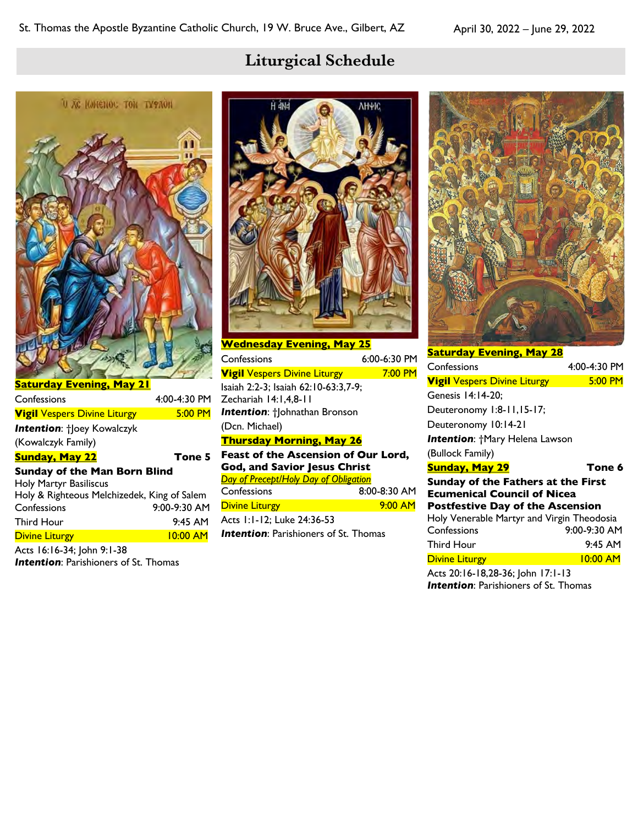



| <u>Saturday Evening, May 21</u>             |                  |
|---------------------------------------------|------------------|
| Confessions                                 | 4:00-4:30 PM     |
| <b>Vigil Vespers Divine Liturgy</b>         | 5:00 PM          |
| <b>Intention:</b> Hoey Kowalczyk            |                  |
| (Kowalczyk Family)                          |                  |
| <u>Sunday, May 22</u>                       | Tone 5           |
| <b>Sunday of the Man Born Blind</b>         |                  |
| Holy Martyr Basiliscus                      |                  |
| Holy & Righteous Melchizedek, King of Salem |                  |
| Confessions                                 | $9:00 - 9:30$ AM |
| <b>Third Hour</b>                           | $9:45$ AM        |
| <b>Divine Liturgy</b>                       | 10:00 AM         |
| Acts 16:16-34; John 9:1-38                  |                  |

**Intention: Parishioners of St. Thomas** 



| <b>Wednesday Evening, May 25</b>                              |                  |
|---------------------------------------------------------------|------------------|
| Confessions                                                   | $6:00 - 6:30$ PM |
| <b>Vigil</b> Vespers Divine Liturgy                           | $7:00$ PM        |
| Isaiah 2:2-3; Isaiah 62:10-63:3,7-9;<br>Zechariah 14:1.4.8-11 |                  |
| <b>Intention:</b> †Johnathan Bronson                          |                  |
| (Dcn. Michael)                                                |                  |
| <u> Thursday Morning, May 26</u>                              |                  |
| Feast of the Ascension of Our Lord,                           |                  |
| <b>God, and Savior Jesus Christ</b>                           |                  |
| Day of Precept/Holy Day of Obligation                         |                  |
| Confessions                                                   | 8:00-8:30 AM     |
| <b>Divine Liturgy</b>                                         | $9:00$ AM        |
| Acts 1:1-12; Luke 24:36-53                                    |                  |

**Intention: Parishioners of St. Thomas** 



| <u>Saturday Evening, May 28</u>            |                  |
|--------------------------------------------|------------------|
| Confessions                                | $4:00 - 4:30$ PM |
| <b>Vigil Vespers Divine Liturgy</b>        | 5:00 PM          |
| Genesis 14:14-20;                          |                  |
| Deuteronomy I:8-11,15-17;                  |                  |
| Deuteronomy 10:14-21                       |                  |
| <b>Intention:</b> †Mary Helena Lawson      |                  |
| (Bullock Family)                           |                  |
|                                            |                  |
| <b><u>Sunday, May 29</u></b>               | Tone 6           |
| Sunday of the Fathers at the First         |                  |
| <b>Ecumenical Council of Nicea</b>         |                  |
| <b>Postfestive Day of the Ascension</b>    |                  |
| Holy Venerable Martyr and Virgin Theodosia |                  |
| Confessions                                | 9:00-9:30 AM     |
| Third Hour                                 | 9:45 AM          |
| <b>Divine Liturgy</b>                      | 10:00 AM         |

*Intention*: Parishioners of St. Thomas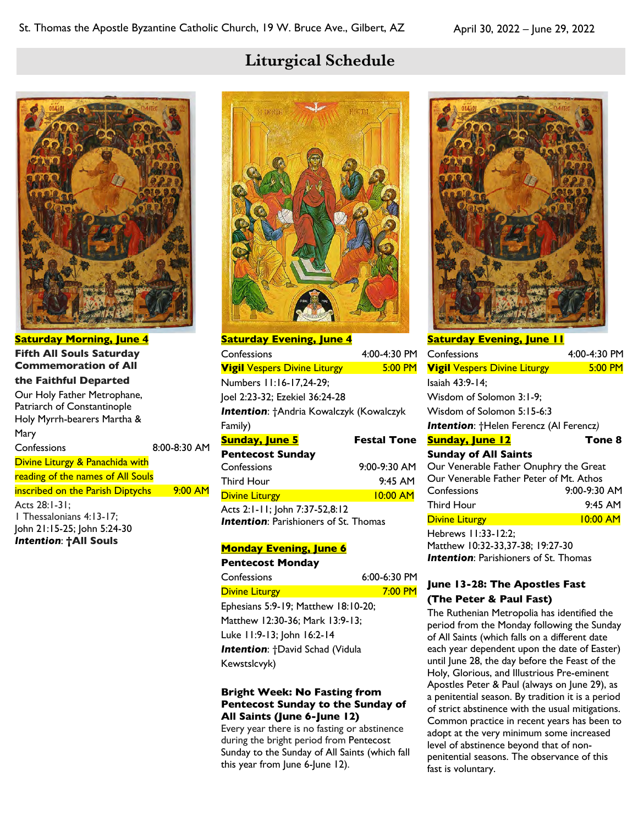

**Saturday Morning, June 4 Fifth All Souls Saturday Commemoration of All the Faithful Departed** Our Holy Father Metrophane, Patriarch of Constantinople Holy Myrrh-bearers Martha & Mary Confessions 8:00-8:30 AM Divine Liturgy & Panachida with reading of the names of All Souls inscribed on the Parish Diptychs 9:00 AM Acts 28:1-31; 1 Thessalonians 4:13-17; John 21:15-25; John 5:24-30 *Intention*: **†All Souls**



| <u> Saturday Evening, June 4</u>               |                    |
|------------------------------------------------|--------------------|
| Confessions                                    | 4:00-4:30 PM       |
| <b>Vigil Vespers Divine Liturgy</b>            | 5:00 PM            |
| Numbers 11:16-17,24-29;                        |                    |
| Joel 2:23-32; Ezekiel 36:24-28                 |                    |
| <b>Intention:</b> †Andria Kowalczyk (Kowalczyk |                    |
| Family)                                        |                    |
| <u>Sunday, June 5</u>                          | <b>Festal Tone</b> |
| <b>Pentecost Sunday</b>                        |                    |
| Confessions                                    | 9:00-9:30 AM       |
| Third Hour                                     | $9:45$ AM          |
| <b>Divine Liturgy</b>                          | 10:00 AM           |
| Acts 2:1-11; John 7:37-52,8:12                 |                    |
| <b>Intention</b> : Parishioners of St. Thomas  |                    |

#### **Monday Evening, June 6**

#### **Pentecost Monday**

| Confessions                            | $6:00 - 6:30$ PM |
|----------------------------------------|------------------|
| <b>Divine Liturgy</b>                  | $7:00$ PM        |
| Ephesians 5:9-19; Matthew 18:10-20;    |                  |
| Matthew 12:30-36; Mark 13:9-13;        |                  |
| Luke 11:9-13; John 16:2-14             |                  |
| <b>Intention: +David Schad (Vidula</b> |                  |
| Kewstslcvyk)                           |                  |

#### **Bright Week: No Fasting from Pentecost Sunday to the Sunday of All Saints (June 6-June 12)**

Every year there is no fasting or abstinence during the bright period from Pentecost Sunday to the Sunday of All Saints (which fall this year from June 6-June 12).



**Saturday Evening, June 11** Confessions 4:00-4:30 PM **Vigil** Vespers Divine Liturgy **5:00 PM** Isaiah 43:9-14; Wisdom of Solomon 3:1-9; Wisdom of Solomon 5:15-6:3 *Intention*: †Helen Ferencz (Al Ferencz*)* **Sunday, June 12 Tone 8 Sunday of All Saints** Our Venerable Father Onuphry the Great Our Venerable Father Peter of Mt. Athos Confessions 9:00-9:30 AM Third Hour 9:45 AM Divine Liturgy 10:00 AM

Hebrews 11:33-12:2; Matthew 10:32-33,37-38; 19:27-30 **Intention: Parishioners of St. Thomas** 

### **June 13-28: The Apostles Fast (The Peter & Paul Fast)**

The Ruthenian Metropolia has identified the period from the Monday following the Sunday of All Saints (which falls on a different date each year dependent upon the date of Easter) until June 28, the day before the Feast of the Holy, Glorious, and Illustrious Pre-eminent Apostles Peter & Paul (always on June 29), as a penitential season. By tradition it is a period of strict abstinence with the usual mitigations. Common practice in recent years has been to adopt at the very minimum some increased level of abstinence beyond that of nonpenitential seasons. The observance of this fast is voluntary.